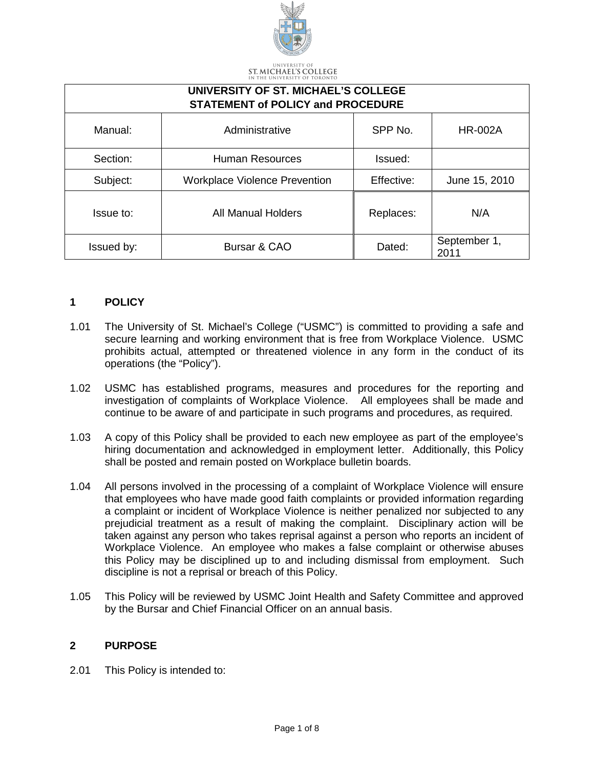

ST. MICHAEL'S COLLEGE

| UNIVERSITY OF ST. MICHAEL'S COLLEGE<br><b>STATEMENT of POLICY and PROCEDURE</b> |                                      |            |                      |
|---------------------------------------------------------------------------------|--------------------------------------|------------|----------------------|
| Manual:                                                                         | Administrative                       | SPP No.    | <b>HR-002A</b>       |
| Section:                                                                        | <b>Human Resources</b>               | Issued:    |                      |
| Subject:                                                                        | <b>Workplace Violence Prevention</b> | Effective: | June 15, 2010        |
| Issue to:                                                                       | <b>All Manual Holders</b>            | Replaces:  | N/A                  |
| Issued by:                                                                      | Bursar & CAO                         | Dated:     | September 1,<br>2011 |

### **1 POLICY**

- 1.01 The University of St. Michael's College ("USMC") is committed to providing a safe and secure learning and working environment that is free from Workplace Violence. USMC prohibits actual, attempted or threatened violence in any form in the conduct of its operations (the "Policy").
- 1.02 USMC has established programs, measures and procedures for the reporting and investigation of complaints of Workplace Violence. All employees shall be made and continue to be aware of and participate in such programs and procedures, as required.
- 1.03 A copy of this Policy shall be provided to each new employee as part of the employee's hiring documentation and acknowledged in employment letter. Additionally, this Policy shall be posted and remain posted on Workplace bulletin boards.
- 1.04 All persons involved in the processing of a complaint of Workplace Violence will ensure that employees who have made good faith complaints or provided information regarding a complaint or incident of Workplace Violence is neither penalized nor subjected to any prejudicial treatment as a result of making the complaint. Disciplinary action will be taken against any person who takes reprisal against a person who reports an incident of Workplace Violence. An employee who makes a false complaint or otherwise abuses this Policy may be disciplined up to and including dismissal from employment. Such discipline is not a reprisal or breach of this Policy.
- 1.05 This Policy will be reviewed by USMC Joint Health and Safety Committee and approved by the Bursar and Chief Financial Officer on an annual basis.

#### **2 PURPOSE**

2.01 This Policy is intended to: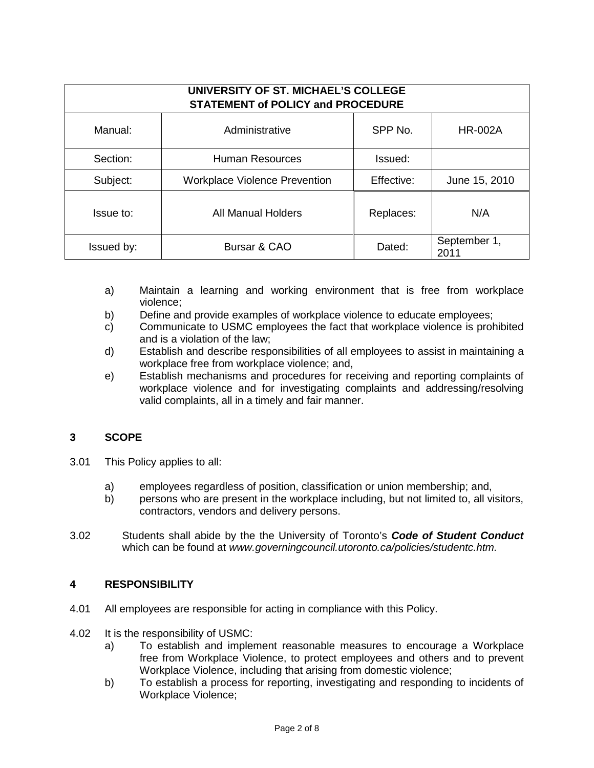| UNIVERSITY OF ST. MICHAEL'S COLLEGE<br><b>STATEMENT of POLICY and PROCEDURE</b> |                                      |            |                      |
|---------------------------------------------------------------------------------|--------------------------------------|------------|----------------------|
| Manual:                                                                         | Administrative                       | SPP No.    | <b>HR-002A</b>       |
| Section:                                                                        | Human Resources                      | Issued:    |                      |
| Subject:                                                                        | <b>Workplace Violence Prevention</b> | Effective: | June 15, 2010        |
| Issue to:                                                                       | All Manual Holders                   | Replaces:  | N/A                  |
| Issued by:                                                                      | Bursar & CAO                         | Dated:     | September 1,<br>2011 |

- a) Maintain a learning and working environment that is free from workplace violence;
- b) Define and provide examples of workplace violence to educate employees;
- c) Communicate to USMC employees the fact that workplace violence is prohibited and is a violation of the law;
- d) Establish and describe responsibilities of all employees to assist in maintaining a workplace free from workplace violence; and,
- e) Establish mechanisms and procedures for receiving and reporting complaints of workplace violence and for investigating complaints and addressing/resolving valid complaints, all in a timely and fair manner.

## **3 SCOPE**

- 3.01 This Policy applies to all:
	- a) employees regardless of position, classification or union membership; and,
	- b) persons who are present in the workplace including, but not limited to, all visitors, contractors, vendors and delivery persons.
- 3.02 Students shall abide by the the University of Toronto's *Code of Student Conduct* which can be found at *www.governingcouncil.utoronto.ca/policies/studentc.htm.*

### **4 RESPONSIBILITY**

- 4.01 All employees are responsible for acting in compliance with this Policy.
- 4.02 It is the responsibility of USMC:
	- a) To establish and implement reasonable measures to encourage a Workplace free from Workplace Violence, to protect employees and others and to prevent Workplace Violence, including that arising from domestic violence;
	- b) To establish a process for reporting, investigating and responding to incidents of Workplace Violence;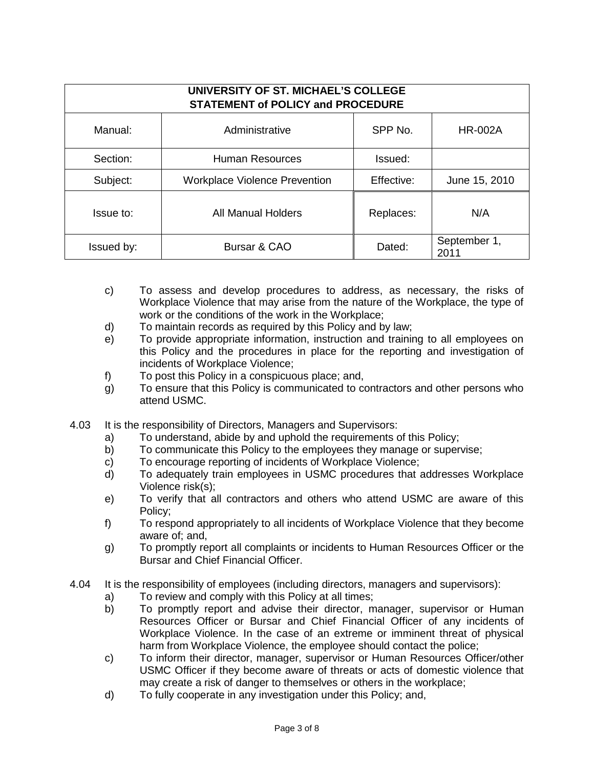| UNIVERSITY OF ST. MICHAEL'S COLLEGE<br><b>STATEMENT of POLICY and PROCEDURE</b> |                                      |            |                      |
|---------------------------------------------------------------------------------|--------------------------------------|------------|----------------------|
| Manual:                                                                         | Administrative                       | SPP No.    | <b>HR-002A</b>       |
| Section:                                                                        | Human Resources                      | Issued:    |                      |
| Subject:                                                                        | <b>Workplace Violence Prevention</b> | Effective: | June 15, 2010        |
| Issue to:                                                                       | All Manual Holders                   | Replaces:  | N/A                  |
| Issued by:                                                                      | Bursar & CAO                         | Dated:     | September 1,<br>2011 |

- c) To assess and develop procedures to address, as necessary, the risks of Workplace Violence that may arise from the nature of the Workplace, the type of work or the conditions of the work in the Workplace;
- d) To maintain records as required by this Policy and by law;
- e) To provide appropriate information, instruction and training to all employees on this Policy and the procedures in place for the reporting and investigation of incidents of Workplace Violence;
- f) To post this Policy in a conspicuous place; and,
- g) To ensure that this Policy is communicated to contractors and other persons who attend USMC.
- 4.03 It is the responsibility of Directors, Managers and Supervisors:
	- a) To understand, abide by and uphold the requirements of this Policy;<br>b) To communicate this Policy to the employees they manage or super
	- To communicate this Policy to the employees they manage or supervise;
	- c) To encourage reporting of incidents of Workplace Violence;
	- d) To adequately train employees in USMC procedures that addresses Workplace Violence risk(s);
	- e) To verify that all contractors and others who attend USMC are aware of this Policy;
	- f) To respond appropriately to all incidents of Workplace Violence that they become aware of; and,
	- g) To promptly report all complaints or incidents to Human Resources Officer or the Bursar and Chief Financial Officer.
- 4.04 It is the responsibility of employees (including directors, managers and supervisors):
	- a) To review and comply with this Policy at all times;<br>b) To promptly report and advise their director, m
	- To promptly report and advise their director, manager, supervisor or Human Resources Officer or Bursar and Chief Financial Officer of any incidents of Workplace Violence. In the case of an extreme or imminent threat of physical harm from Workplace Violence, the employee should contact the police;
	- c) To inform their director, manager, supervisor or Human Resources Officer/other USMC Officer if they become aware of threats or acts of domestic violence that may create a risk of danger to themselves or others in the workplace;
	- d) To fully cooperate in any investigation under this Policy; and,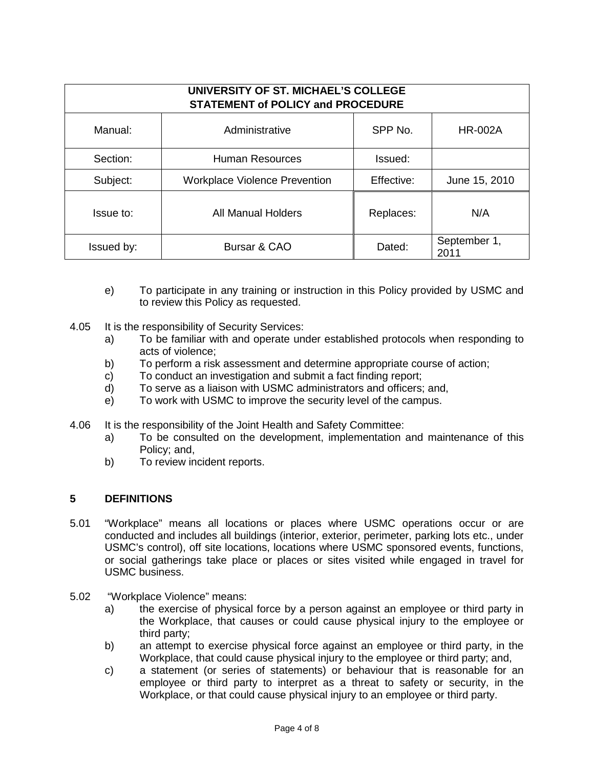| UNIVERSITY OF ST. MICHAEL'S COLLEGE<br><b>STATEMENT of POLICY and PROCEDURE</b> |                                      |            |                      |
|---------------------------------------------------------------------------------|--------------------------------------|------------|----------------------|
| Manual:                                                                         | Administrative                       | SPP No.    | <b>HR-002A</b>       |
| Section:                                                                        | Human Resources                      | Issued:    |                      |
| Subject:                                                                        | <b>Workplace Violence Prevention</b> | Effective: | June 15, 2010        |
| Issue to:                                                                       | All Manual Holders                   | Replaces:  | N/A                  |
| Issued by:                                                                      | Bursar & CAO                         | Dated:     | September 1,<br>2011 |

- e) To participate in any training or instruction in this Policy provided by USMC and to review this Policy as requested.
- 4.05 It is the responsibility of Security Services:
	- a) To be familiar with and operate under established protocols when responding to acts of violence;
	- b) To perform a risk assessment and determine appropriate course of action;
	- c) To conduct an investigation and submit a fact finding report;
	- d) To serve as a liaison with USMC administrators and officers; and,
	- e) To work with USMC to improve the security level of the campus.
- 4.06 It is the responsibility of the Joint Health and Safety Committee:
	- a) To be consulted on the development, implementation and maintenance of this Policy; and,
	- b) To review incident reports.

### **5 DEFINITIONS**

- 5.01 "Workplace" means all locations or places where USMC operations occur or are conducted and includes all buildings (interior, exterior, perimeter, parking lots etc., under USMC's control), off site locations, locations where USMC sponsored events, functions, or social gatherings take place or places or sites visited while engaged in travel for USMC business.
- 5.02 "Workplace Violence" means:
	- a) the exercise of physical force by a person against an employee or third party in the Workplace, that causes or could cause physical injury to the employee or third party;
	- b) an attempt to exercise physical force against an employee or third party, in the Workplace, that could cause physical injury to the employee or third party; and,
	- c) a statement (or series of statements) or behaviour that is reasonable for an employee or third party to interpret as a threat to safety or security, in the Workplace, or that could cause physical injury to an employee or third party.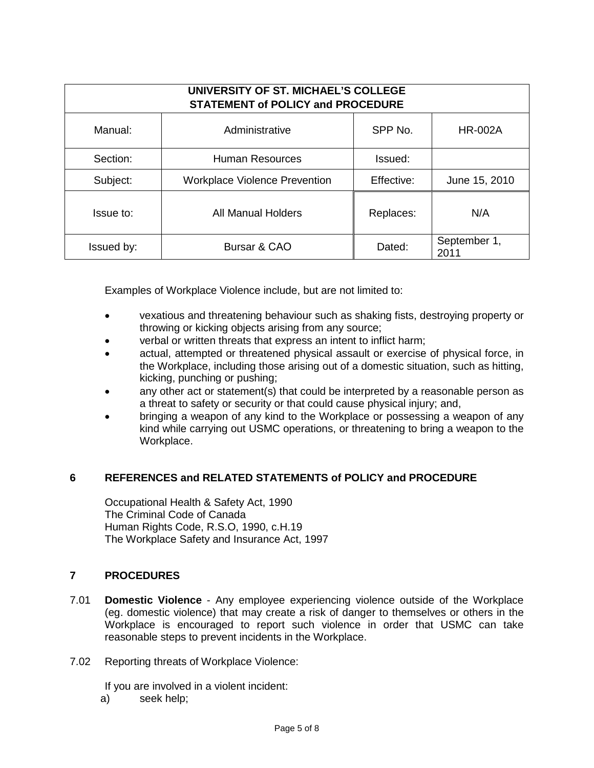| UNIVERSITY OF ST. MICHAEL'S COLLEGE<br><b>STATEMENT of POLICY and PROCEDURE</b> |                                      |            |                      |
|---------------------------------------------------------------------------------|--------------------------------------|------------|----------------------|
| Manual:                                                                         | Administrative                       | SPP No.    | <b>HR-002A</b>       |
| Section:                                                                        | Human Resources                      | Issued:    |                      |
| Subject:                                                                        | <b>Workplace Violence Prevention</b> | Effective: | June 15, 2010        |
| Issue to:                                                                       | All Manual Holders                   | Replaces:  | N/A                  |
| Issued by:                                                                      | Bursar & CAO                         | Dated:     | September 1,<br>2011 |

Examples of Workplace Violence include, but are not limited to:

- vexatious and threatening behaviour such as shaking fists, destroying property or throwing or kicking objects arising from any source;
- verbal or written threats that express an intent to inflict harm;
- actual, attempted or threatened physical assault or exercise of physical force, in the Workplace, including those arising out of a domestic situation, such as hitting, kicking, punching or pushing;
- anv other act or statement(s) that could be interpreted by a reasonable person as a threat to safety or security or that could cause physical injury; and,
- bringing a weapon of any kind to the Workplace or possessing a weapon of any kind while carrying out USMC operations, or threatening to bring a weapon to the Workplace.

## **6 REFERENCES and RELATED STATEMENTS of POLICY and PROCEDURE**

Occupational Health & Safety Act, 1990 The Criminal Code of Canada Human Rights Code, R.S.O, 1990, c.H.19 The Workplace Safety and Insurance Act, 1997

### **7 PROCEDURES**

- 7.01 **Domestic Violence** Any employee experiencing violence outside of the Workplace (eg. domestic violence) that may create a risk of danger to themselves or others in the Workplace is encouraged to report such violence in order that USMC can take reasonable steps to prevent incidents in the Workplace.
- 7.02 Reporting threats of Workplace Violence:

If you are involved in a violent incident:<br>a) seek help:

seek help;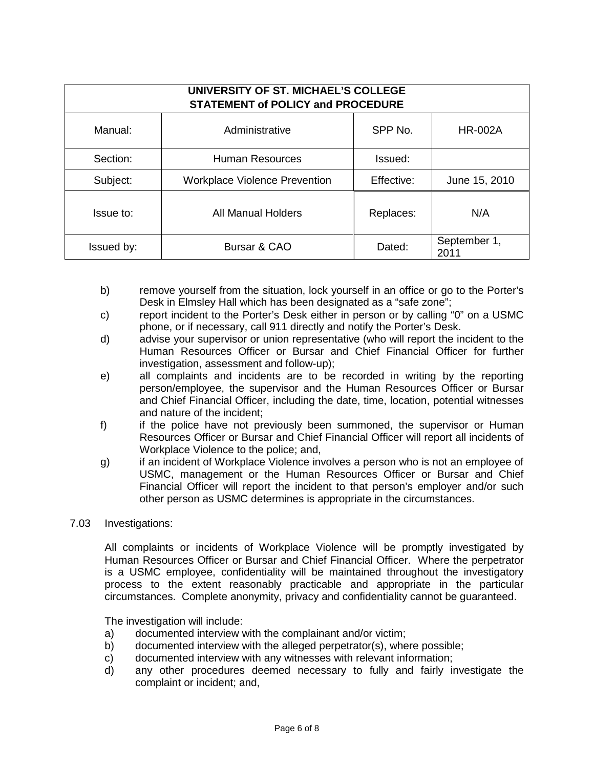| UNIVERSITY OF ST. MICHAEL'S COLLEGE<br><b>STATEMENT of POLICY and PROCEDURE</b> |                                      |            |                      |
|---------------------------------------------------------------------------------|--------------------------------------|------------|----------------------|
| Manual:                                                                         | Administrative                       | SPP No.    | <b>HR-002A</b>       |
| Section:                                                                        | Human Resources                      | Issued:    |                      |
| Subject:                                                                        | <b>Workplace Violence Prevention</b> | Effective: | June 15, 2010        |
| Issue to:                                                                       | All Manual Holders                   | Replaces:  | N/A                  |
| Issued by:                                                                      | Bursar & CAO                         | Dated:     | September 1,<br>2011 |

- b) remove yourself from the situation, lock yourself in an office or go to the Porter's Desk in Elmsley Hall which has been designated as a "safe zone";
- c) report incident to the Porter's Desk either in person or by calling "0" on a USMC phone, or if necessary, call 911 directly and notify the Porter's Desk.
- d) advise your supervisor or union representative (who will report the incident to the Human Resources Officer or Bursar and Chief Financial Officer for further investigation, assessment and follow-up);
- e) all complaints and incidents are to be recorded in writing by the reporting person/employee, the supervisor and the Human Resources Officer or Bursar and Chief Financial Officer, including the date, time, location, potential witnesses and nature of the incident;
- f) if the police have not previously been summoned, the supervisor or Human Resources Officer or Bursar and Chief Financial Officer will report all incidents of Workplace Violence to the police; and,
- g) if an incident of Workplace Violence involves a person who is not an employee of USMC, management or the Human Resources Officer or Bursar and Chief Financial Officer will report the incident to that person's employer and/or such other person as USMC determines is appropriate in the circumstances.
- 7.03 Investigations:

All complaints or incidents of Workplace Violence will be promptly investigated by Human Resources Officer or Bursar and Chief Financial Officer. Where the perpetrator is a USMC employee, confidentiality will be maintained throughout the investigatory process to the extent reasonably practicable and appropriate in the particular circumstances. Complete anonymity, privacy and confidentiality cannot be guaranteed.

The investigation will include:

- a) documented interview with the complainant and/or victim;
- b) documented interview with the alleged perpetrator(s), where possible;
- c) documented interview with any witnesses with relevant information;
- d) any other procedures deemed necessary to fully and fairly investigate the complaint or incident; and,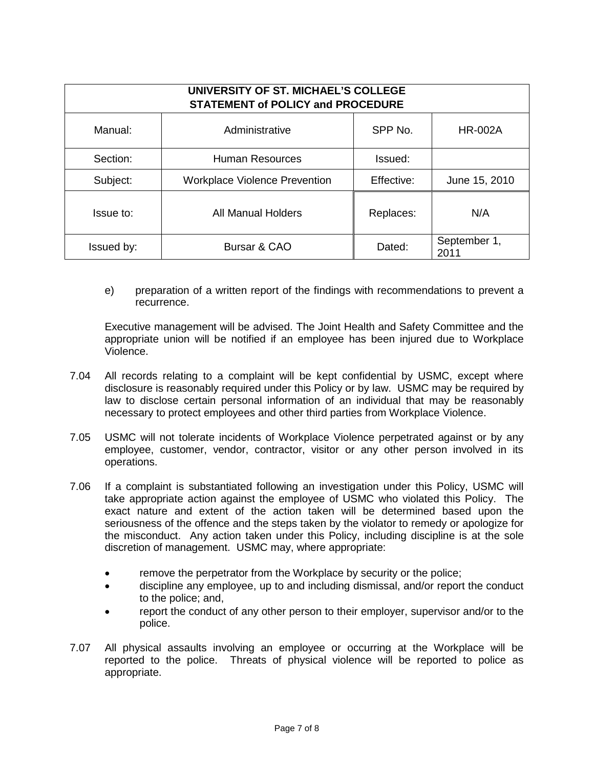| UNIVERSITY OF ST. MICHAEL'S COLLEGE<br><b>STATEMENT of POLICY and PROCEDURE</b> |                                      |            |                      |
|---------------------------------------------------------------------------------|--------------------------------------|------------|----------------------|
| Manual:                                                                         | Administrative                       | SPP No.    | <b>HR-002A</b>       |
| Section:                                                                        | Human Resources                      | Issued:    |                      |
| Subject:                                                                        | <b>Workplace Violence Prevention</b> | Effective: | June 15, 2010        |
| Issue to:                                                                       | All Manual Holders                   | Replaces:  | N/A                  |
| Issued by:                                                                      | Bursar & CAO                         | Dated:     | September 1,<br>2011 |

e) preparation of a written report of the findings with recommendations to prevent a recurrence.

Executive management will be advised. The Joint Health and Safety Committee and the appropriate union will be notified if an employee has been injured due to Workplace Violence.

- 7.04 All records relating to a complaint will be kept confidential by USMC, except where disclosure is reasonably required under this Policy or by law. USMC may be required by law to disclose certain personal information of an individual that may be reasonably necessary to protect employees and other third parties from Workplace Violence.
- 7.05 USMC will not tolerate incidents of Workplace Violence perpetrated against or by any employee, customer, vendor, contractor, visitor or any other person involved in its operations.
- 7.06 If a complaint is substantiated following an investigation under this Policy, USMC will take appropriate action against the employee of USMC who violated this Policy. The exact nature and extent of the action taken will be determined based upon the seriousness of the offence and the steps taken by the violator to remedy or apologize for the misconduct. Any action taken under this Policy, including discipline is at the sole discretion of management. USMC may, where appropriate:
	- remove the perpetrator from the Workplace by security or the police;
	- discipline any employee, up to and including dismissal, and/or report the conduct to the police; and,
	- report the conduct of any other person to their employer, supervisor and/or to the police.
- 7.07 All physical assaults involving an employee or occurring at the Workplace will be reported to the police. Threats of physical violence will be reported to police as appropriate.